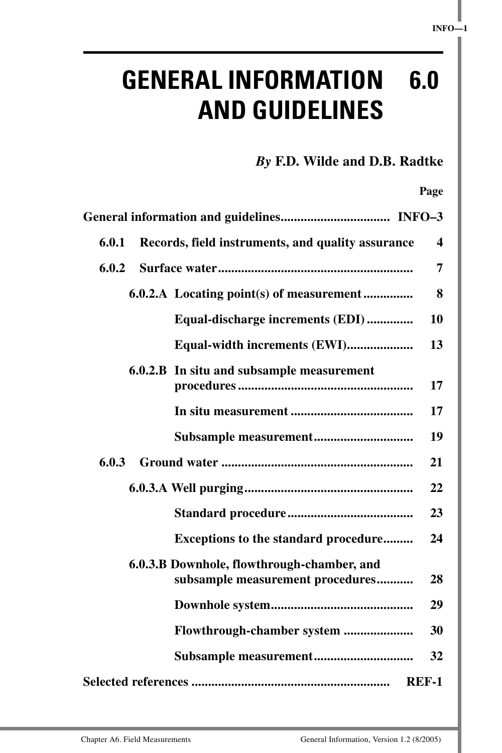#### **INFO—1**

# **GENERAL INFORMATION 6.0 AND GUIDELINES**

#### *By* **F.D. Wilde and D.B. Radtke**

**Page**

| 6.0.1 | Records, field instruments, and quality assurance                              |              | $\boldsymbol{4}$ |
|-------|--------------------------------------------------------------------------------|--------------|------------------|
| 6.0.2 |                                                                                |              | 7                |
|       | 6.0.2.A Locating point(s) of measurement                                       |              | 8                |
|       | Equal-discharge increments (EDI)                                               |              | 10               |
|       | Equal-width increments (EWI)                                                   |              | 13               |
|       | 6.0.2.B In situ and subsample measurement                                      |              | 17               |
|       |                                                                                |              | 17               |
|       |                                                                                |              | 19               |
| 6.0.3 |                                                                                |              | 21               |
|       |                                                                                |              | 22               |
|       |                                                                                |              | 23               |
|       | Exceptions to the standard procedure                                           |              | 24               |
|       | 6.0.3.B Downhole, flowthrough-chamber, and<br>subsample measurement procedures |              | 28               |
|       |                                                                                |              | 29               |
|       | Flowthrough-chamber system                                                     |              | 30               |
|       |                                                                                |              | 32               |
|       |                                                                                | <b>REF-1</b> |                  |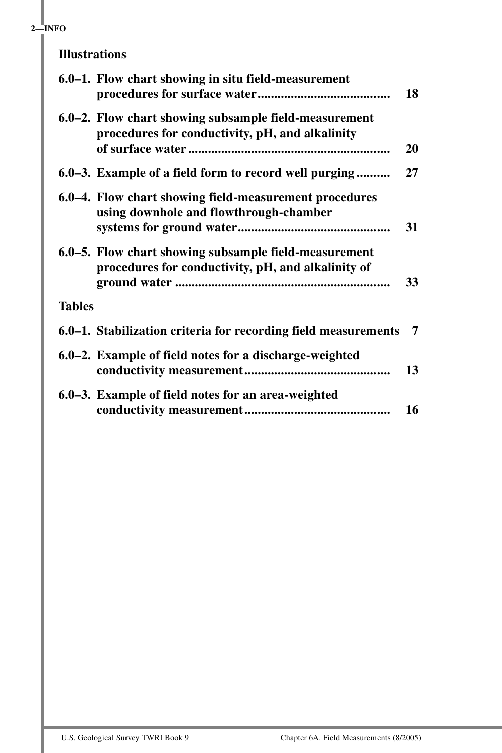### **Illustrations**

|               | 6.0–1. Flow chart showing in situ field-measurement                                                         | 18 |
|---------------|-------------------------------------------------------------------------------------------------------------|----|
|               | 6.0–2. Flow chart showing subsample field-measurement<br>procedures for conductivity, pH, and alkalinity    |    |
|               |                                                                                                             | 20 |
|               | 6.0–3. Example of a field form to record well purging                                                       | 27 |
|               | 6.0–4. Flow chart showing field-measurement procedures<br>using downhole and flowthrough-chamber            | 31 |
|               | 6.0–5. Flow chart showing subsample field-measurement<br>procedures for conductivity, pH, and alkalinity of | 33 |
| <b>Tables</b> |                                                                                                             |    |
|               | 6.0–1. Stabilization criteria for recording field measurements                                              | 7  |
|               | 6.0–2. Example of field notes for a discharge-weighted                                                      | 13 |
|               | 6.0–3. Example of field notes for an area-weighted                                                          | 16 |

#### **2—INFO**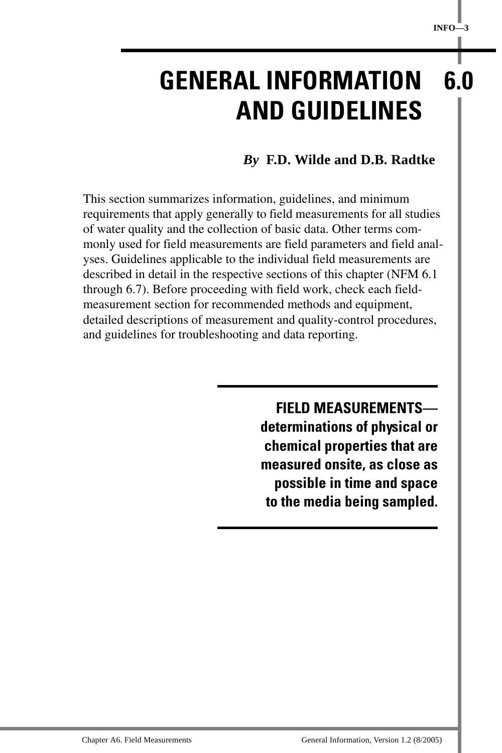# **GENERAL INFORMATION 6.0 AND GUIDELINES**

*By* **F.D. Wilde and D.B. Radtke**

This section summarizes information, guidelines, and minimum requirements that apply generally to field measurements for all studies of water quality and the collection of basic data. Other terms commonly used for field measurements are field parameters and field analyses. Guidelines applicable to the individual field measurements are described in detail in the respective sections of this chapter (NFM 6.1 through 6.7). Before proceeding with field work, check each fieldmeasurement section for recommended methods and equipment, detailed descriptions of measurement and quality-control procedures, and guidelines for troubleshooting and data reporting.

> **FIELD MEASUREMENTS determinations of physical or chemical properties that are measured onsite, as close as possible in time and space to the media being sampled.**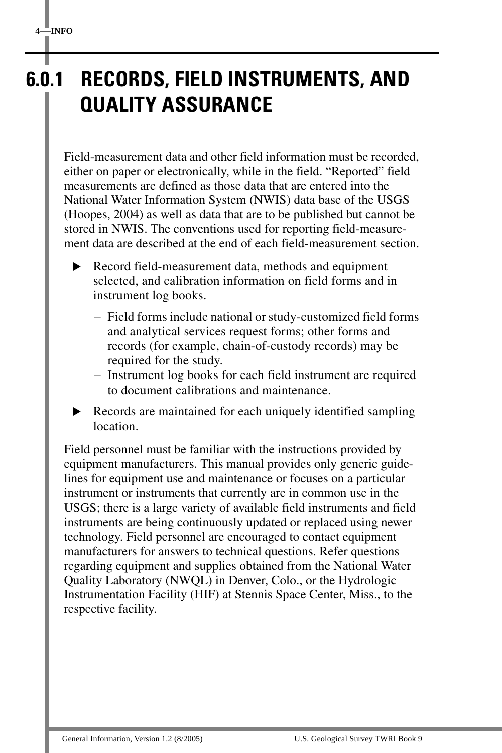# **6.0.1 RECORDS, FIELD INSTRUMENTS, AND QUALITY ASSURANCE**

Field-measurement data and other field information must be recorded, either on paper or electronically, while in the field. "Reported" field measurements are defined as those data that are entered into the National Water Information System (NWIS) data base of the USGS (Hoopes, 2004) as well as data that are to be published but cannot be stored in NWIS. The conventions used for reporting field-measurement data are described at the end of each field-measurement section.

- Record field-measurement data, methods and equipment selected, and calibration information on field forms and in instrument log books.
	- Field forms include national or study-customized field forms and analytical services request forms; other forms and records (for example, chain-of-custody records) may be required for the study.
	- Instrument log books for each field instrument are required to document calibrations and maintenance.
- $\blacktriangleright$  Records are maintained for each uniquely identified sampling location.

Field personnel must be familiar with the instructions provided by equipment manufacturers. This manual provides only generic guidelines for equipment use and maintenance or focuses on a particular instrument or instruments that currently are in common use in the USGS; there is a large variety of available field instruments and field instruments are being continuously updated or replaced using newer technology. Field personnel are encouraged to contact equipment manufacturers for answers to technical questions. Refer questions regarding equipment and supplies obtained from the National Water Quality Laboratory (NWQL) in Denver, Colo., or the Hydrologic Instrumentation Facility (HIF) at Stennis Space Center, Miss., to the respective facility.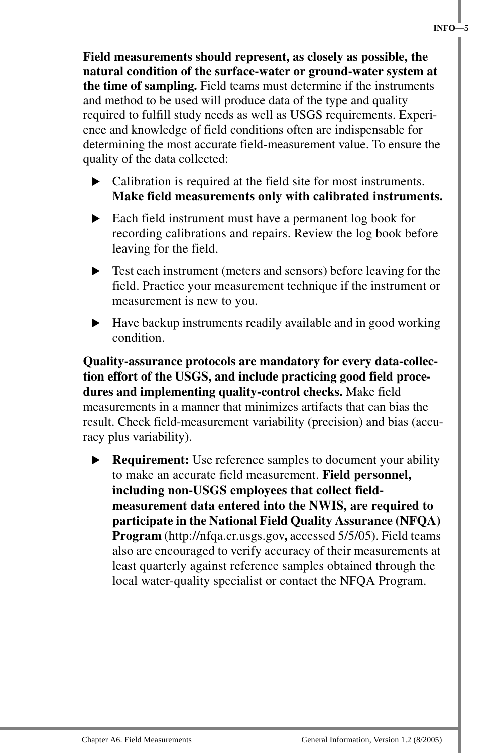**Field measurements should represent, as closely as possible, the natural condition of the surface-water or ground-water system at the time of sampling.** Field teams must determine if the instruments and method to be used will produce data of the type and quality required to fulfill study needs as well as USGS requirements. Experience and knowledge of field conditions often are indispensable for determining the most accurate field-measurement value. To ensure the quality of the data collected:

- $\blacktriangleright$  Calibration is required at the field site for most instruments. **Make field measurements only with calibrated instruments.**
- $\blacktriangleright$  Each field instrument must have a permanent log book for recording calibrations and repairs. Review the log book before leaving for the field.
- $\triangleright$  Test each instrument (meters and sensors) before leaving for the field. Practice your measurement technique if the instrument or measurement is new to you.
- $\blacktriangleright$  Have backup instruments readily available and in good working condition.

**Quality-assurance protocols are mandatory for every data-collection effort of the USGS, and include practicing good field procedures and implementing quality-control checks.** Make field measurements in a manner that minimizes artifacts that can bias the result. Check field-measurement variability (precision) and bias (accuracy plus variability).

**Examples 1** Requirement: Use reference samples to document your ability to make an accurate field measurement. **Field personnel, including non-USGS employees that collect fieldmeasurement data entered into the NWIS, are required to participate in the National Field Quality Assurance (NFQA) Program** (http://nfqa.cr.usgs.gov**,** accessed 5/5/05). Field teams also are encouraged to verify accuracy of their measurements at least quarterly against reference samples obtained through the local water-quality specialist or contact the NFQA Program.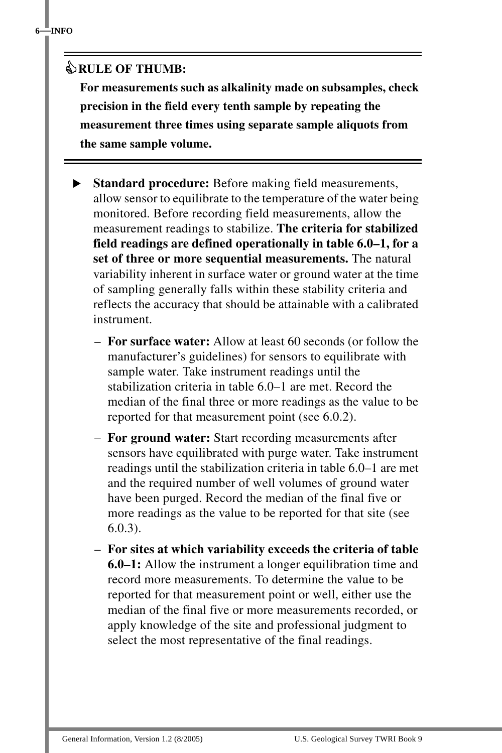#### &**RULE OF THUMB:**

**For measurements such as alkalinity made on subsamples, check precision in the field every tenth sample by repeating the measurement three times using separate sample aliquots from the same sample volume.**

- **Standard procedure:** Before making field measurements, allow sensor to equilibrate to the temperature of the water being monitored. Before recording field measurements, allow the measurement readings to stabilize. **The criteria for stabilized field readings are defined operationally in table 6.0–1, for a set of three or more sequential measurements.** The natural variability inherent in surface water or ground water at the time of sampling generally falls within these stability criteria and reflects the accuracy that should be attainable with a calibrated instrument.
	- **For surface water:** Allow at least 60 seconds (or follow the manufacturer's guidelines) for sensors to equilibrate with sample water. Take instrument readings until the stabilization criteria in table 6.0–1 are met. Record the median of the final three or more readings as the value to be reported for that measurement point (see 6.0.2).
	- **For ground water:** Start recording measurements after sensors have equilibrated with purge water. Take instrument readings until the stabilization criteria in table 6.0–1 are met and the required number of well volumes of ground water have been purged. Record the median of the final five or more readings as the value to be reported for that site (see 6.0.3).
	- **For sites at which variability exceeds the criteria of table 6.0–1:** Allow the instrument a longer equilibration time and record more measurements. To determine the value to be reported for that measurement point or well, either use the median of the final five or more measurements recorded, or apply knowledge of the site and professional judgment to select the most representative of the final readings.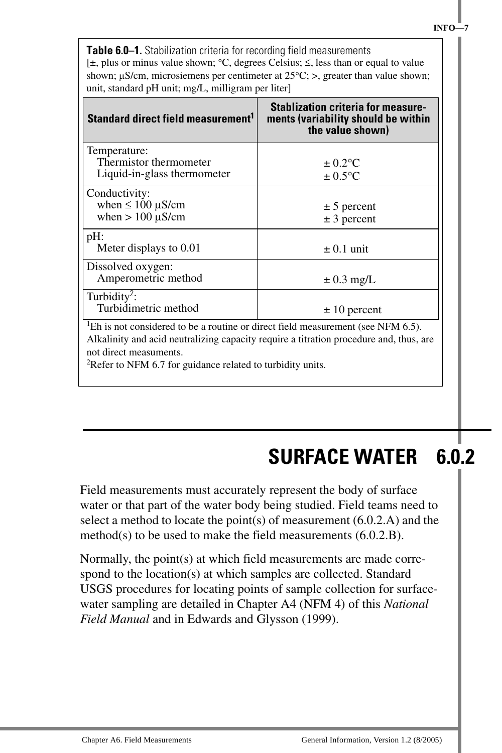**Table 6.0–1.** Stabilization criteria for recording field measurements [±, plus or minus value shown; °C, degrees Celsius; ≤, less than or equal to value shown;  $\mu$ S/cm, microsiemens per centimeter at 25 $\degree$ C; >, greater than value shown; unit, standard pH unit; mg/L, milligram per liter]

| Standard direct field measurement <sup>1</sup>                                                                                                                                                                      | <b>Stablization criteria for measure-</b><br>ments (variability should be within<br>the value shown) |  |  |  |
|---------------------------------------------------------------------------------------------------------------------------------------------------------------------------------------------------------------------|------------------------------------------------------------------------------------------------------|--|--|--|
| Temperature:<br>Thermistor thermometer<br>Liquid-in-glass thermometer                                                                                                                                               | $\pm 0.2$ °C<br>$\pm 0.5$ °C                                                                         |  |  |  |
| Conductivity:<br>when $\leq 100 \mu$ S/cm<br>when $> 100 \mu$ S/cm                                                                                                                                                  | $\pm$ 5 percent<br>$± 3$ percent                                                                     |  |  |  |
| pH:<br>Meter displays to 0.01                                                                                                                                                                                       | $\pm$ 0.1 unit                                                                                       |  |  |  |
| Dissolved oxygen:<br>Amperometric method                                                                                                                                                                            | $\pm$ 0.3 mg/L                                                                                       |  |  |  |
| Turbidity <sup>2</sup> :<br>Turbidimetric method                                                                                                                                                                    | $\pm 10$ percent                                                                                     |  |  |  |
| <sup>1</sup> Eh is not considered to be a routine or direct field measurement (see NFM $6.5$ ).<br>Alkalinity and acid neutralizing capacity require a titration procedure and, thus, are<br>not direct measuments. |                                                                                                      |  |  |  |

<sup>2</sup>Refer to NFM 6.7 for guidance related to turbidity units.

# **SURFACE WATER 6.0.2**

Field measurements must accurately represent the body of surface water or that part of the water body being studied. Field teams need to select a method to locate the point(s) of measurement  $(6.0.2.A)$  and the method(s) to be used to make the field measurements (6.0.2.B).

Normally, the point(s) at which field measurements are made correspond to the location(s) at which samples are collected. Standard USGS procedures for locating points of sample collection for surfacewater sampling are detailed in Chapter A4 (NFM 4) of this *National Field Manual* and in Edwards and Glysson (1999).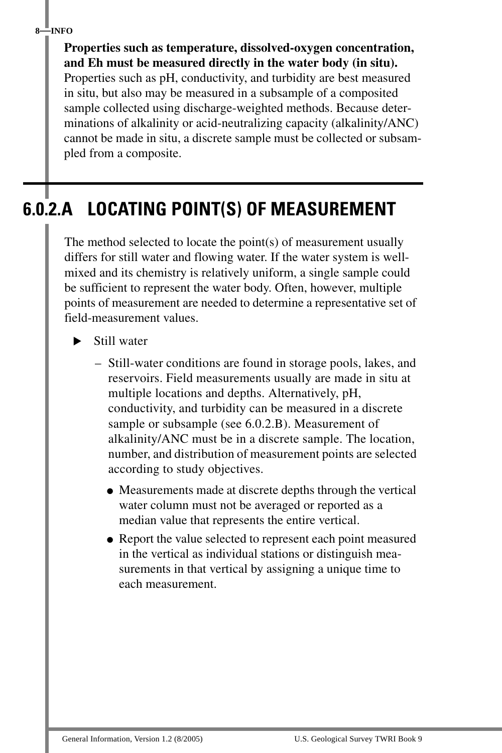**Properties such as temperature, dissolved-oxygen concentration, and Eh must be measured directly in the water body (in situ).** Properties such as pH, conductivity, and turbidity are best measured in situ, but also may be measured in a subsample of a composited sample collected using discharge-weighted methods. Because determinations of alkalinity or acid-neutralizing capacity (alkalinity/ANC) cannot be made in situ, a discrete sample must be collected or subsampled from a composite.

# **6.0.2.A LOCATING POINT(S) OF MEASUREMENT**

The method selected to locate the point(s) of measurement usually differs for still water and flowing water. If the water system is wellmixed and its chemistry is relatively uniform, a single sample could be sufficient to represent the water body. Often, however, multiple points of measurement are needed to determine a representative set of field-measurement values.

#### Still water

- Still-water conditions are found in storage pools, lakes, and reservoirs. Field measurements usually are made in situ at multiple locations and depths. Alternatively, pH, conductivity, and turbidity can be measured in a discrete sample or subsample (see 6.0.2.B). Measurement of alkalinity/ANC must be in a discrete sample. The location, number, and distribution of measurement points are selected according to study objectives.
	- Measurements made at discrete depths through the vertical water column must not be averaged or reported as a median value that represents the entire vertical.
	- Report the value selected to represent each point measured in the vertical as individual stations or distinguish measurements in that vertical by assigning a unique time to each measurement.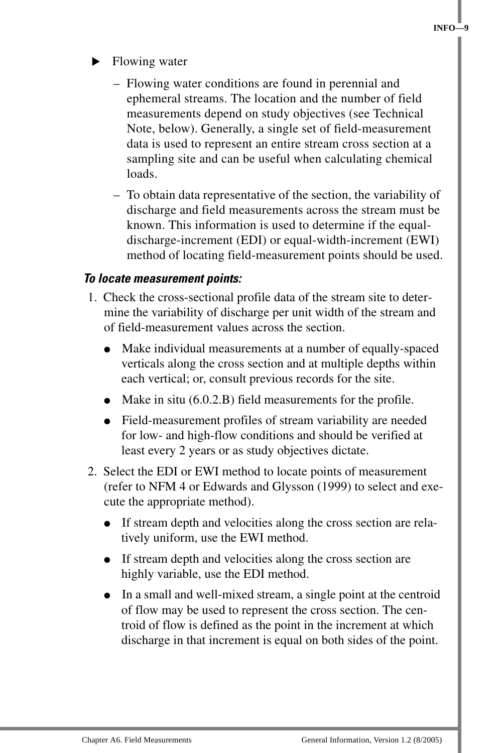- $\blacktriangleright$  Flowing water
	- Flowing water conditions are found in perennial and ephemeral streams. The location and the number of field measurements depend on study objectives (see Technical Note, below). Generally, a single set of field-measurement data is used to represent an entire stream cross section at a sampling site and can be useful when calculating chemical loads.
	- To obtain data representative of the section, the variability of discharge and field measurements across the stream must be known. This information is used to determine if the equaldischarge-increment (EDI) or equal-width-increment (EWI) method of locating field-measurement points should be used.

#### *To locate measurement points:*

- 1. Check the cross-sectional profile data of the stream site to determine the variability of discharge per unit width of the stream and of field-measurement values across the section.
	- Make individual measurements at a number of equally-spaced verticals along the cross section and at multiple depths within each vertical; or, consult previous records for the site.
	- Make in situ (6.0.2.B) field measurements for the profile.
	- Field-measurement profiles of stream variability are needed for low- and high-flow conditions and should be verified at least every 2 years or as study objectives dictate.
- 2. Select the EDI or EWI method to locate points of measurement (refer to NFM 4 or Edwards and Glysson (1999) to select and execute the appropriate method).
	- If stream depth and velocities along the cross section are relatively uniform, use the EWI method.
	- If stream depth and velocities along the cross section are highly variable, use the EDI method.
	- In a small and well-mixed stream, a single point at the centroid of flow may be used to represent the cross section. The centroid of flow is defined as the point in the increment at which discharge in that increment is equal on both sides of the point.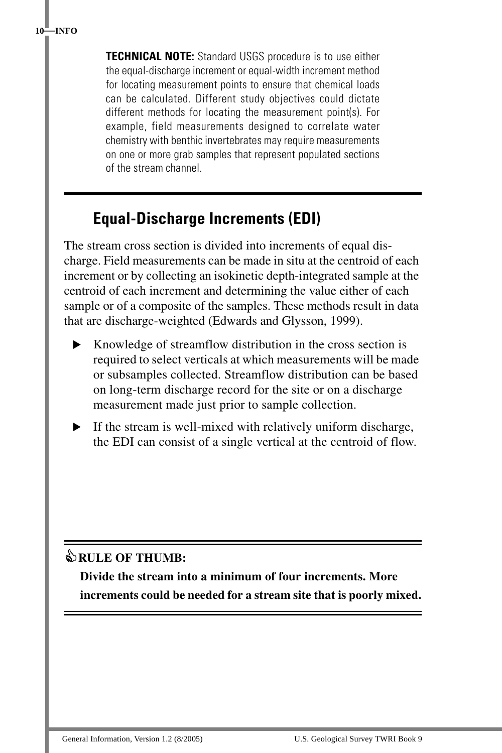**TECHNICAL NOTE:** Standard USGS procedure is to use either the equal-discharge increment or equal-width increment method for locating measurement points to ensure that chemical loads can be calculated. Different study objectives could dictate different methods for locating the measurement point(s). For example, field measurements designed to correlate water chemistry with benthic invertebrates may require measurements on one or more grab samples that represent populated sections of the stream channel.

# **Equal-Discharge Increments (EDI)**

The stream cross section is divided into increments of equal discharge. Field measurements can be made in situ at the centroid of each increment or by collecting an isokinetic depth-integrated sample at the centroid of each increment and determining the value either of each sample or of a composite of the samples. These methods result in data that are discharge-weighted (Edwards and Glysson, 1999).

- X Knowledge of streamflow distribution in the cross section is required to select verticals at which measurements will be made or subsamples collected. Streamflow distribution can be based on long-term discharge record for the site or on a discharge measurement made just prior to sample collection.
- $\blacktriangleright$  If the stream is well-mixed with relatively uniform discharge, the EDI can consist of a single vertical at the centroid of flow.

### &**RULE OF THUMB:**

**Divide the stream into a minimum of four increments. More increments could be needed for a stream site that is poorly mixed.**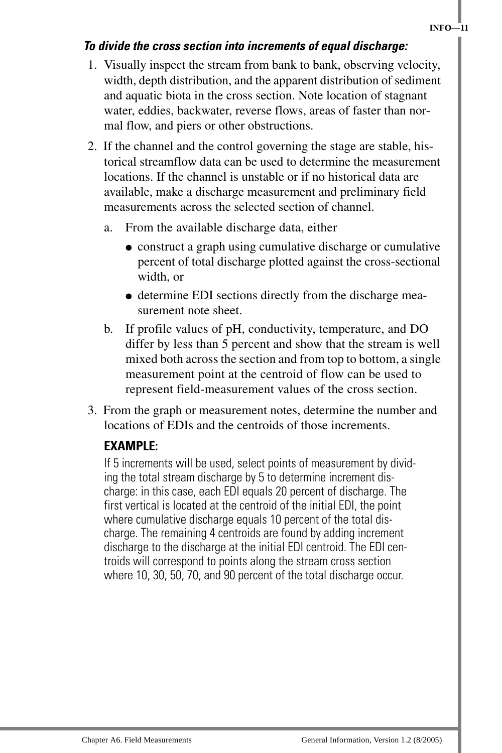#### *To divide the cross section into increments of equal discharge:*

- 1. Visually inspect the stream from bank to bank, observing velocity, width, depth distribution, and the apparent distribution of sediment and aquatic biota in the cross section. Note location of stagnant water, eddies, backwater, reverse flows, areas of faster than normal flow, and piers or other obstructions.
- 2. If the channel and the control governing the stage are stable, historical streamflow data can be used to determine the measurement locations. If the channel is unstable or if no historical data are available, make a discharge measurement and preliminary field measurements across the selected section of channel.
	- a. From the available discharge data, either
		- construct a graph using cumulative discharge or cumulative percent of total discharge plotted against the cross-sectional width, or
		- determine EDI sections directly from the discharge measurement note sheet.
	- b. If profile values of pH, conductivity, temperature, and DO differ by less than 5 percent and show that the stream is well mixed both across the section and from top to bottom, a single measurement point at the centroid of flow can be used to represent field-measurement values of the cross section.
- 3. From the graph or measurement notes, determine the number and locations of EDIs and the centroids of those increments.

### **EXAMPLE:**

If 5 increments will be used, select points of measurement by dividing the total stream discharge by 5 to determine increment discharge: in this case, each EDI equals 20 percent of discharge. The first vertical is located at the centroid of the initial EDI, the point where cumulative discharge equals 10 percent of the total discharge. The remaining 4 centroids are found by adding increment discharge to the discharge at the initial EDI centroid. The EDI centroids will correspond to points along the stream cross section where 10, 30, 50, 70, and 90 percent of the total discharge occur.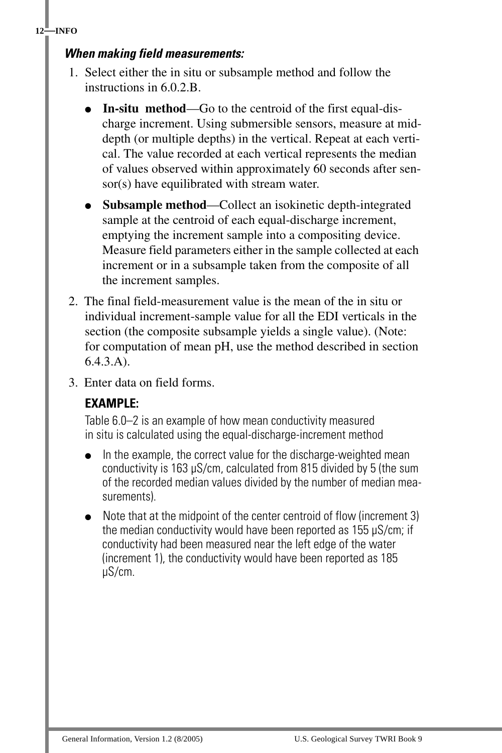#### *When making field measurements:*

- 1. Select either the in situ or subsample method and follow the instructions in 6.0.2.B.
	- **In-situ method—Go** to the centroid of the first equal-discharge increment. Using submersible sensors, measure at middepth (or multiple depths) in the vertical. Repeat at each vertical. The value recorded at each vertical represents the median of values observed within approximately 60 seconds after sensor(s) have equilibrated with stream water.
	- **Subsample method**—Collect an isokinetic depth-integrated sample at the centroid of each equal-discharge increment, emptying the increment sample into a compositing device. Measure field parameters either in the sample collected at each increment or in a subsample taken from the composite of all the increment samples.
- 2. The final field-measurement value is the mean of the in situ or individual increment-sample value for all the EDI verticals in the section (the composite subsample yields a single value). (Note: for computation of mean pH, use the method described in section 6.4.3.A).
- 3. Enter data on field forms.

### **EXAMPLE:**

Table 6.0–2 is an example of how mean conductivity measured in situ is calculated using the equal-discharge-increment method

- In the example, the correct value for the discharge-weighted mean conductivity is 163 µS/cm, calculated from 815 divided by 5 (the sum of the recorded median values divided by the number of median measurements).
- Note that at the midpoint of the center centroid of flow (increment 3) the median conductivity would have been reported as 155 µS/cm; if conductivity had been measured near the left edge of the water (increment 1), the conductivity would have been reported as 185 µS/cm.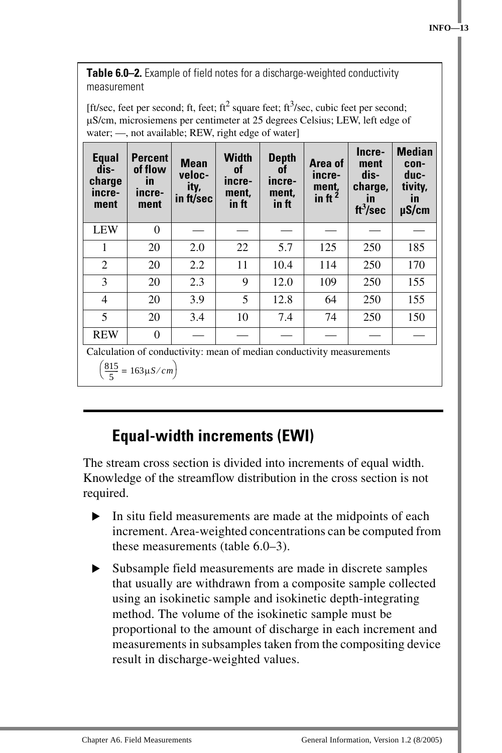**Table 6.0–2.** Example of field notes for a discharge-weighted conductivity measurement

[ft/sec, feet per second; ft, feet;  $ft^2$  square feet;  $ft^3$ /sec, cubic feet per second; µS/cm, microsiemens per centimeter at 25 degrees Celsius; LEW, left edge of water; —, not available; REW, right edge of water]

| <b>Equal</b><br>dis-<br>charge<br>incre-<br>ment                      | <b>Percent</b><br>of flow<br>$\mathbf{m}$<br>incre-<br>ment | <b>Mean</b><br>veloc-<br>ity,<br>in ft/sec | <b>Width</b><br>οf<br>incre-<br>ment.<br>in ft | <b>Depth</b><br>0Ť<br>incre-<br>ment.<br>in ft | Area of<br>incre-<br>ment,<br>in ft $2$ | Incre-<br>ment<br>dis-<br>charge,<br>$\mathbf{m}$<br>$ft^3/sec$ | <b>Median</b><br>con-<br>duc-<br>tivity,<br>$\mathbf{m}$<br>$\mu$ S/cm |
|-----------------------------------------------------------------------|-------------------------------------------------------------|--------------------------------------------|------------------------------------------------|------------------------------------------------|-----------------------------------------|-----------------------------------------------------------------|------------------------------------------------------------------------|
| <b>LEW</b>                                                            | $\Omega$                                                    |                                            |                                                |                                                |                                         |                                                                 |                                                                        |
| 1                                                                     | 20                                                          | 2.0                                        | 22                                             | 5.7                                            | 125                                     | 250                                                             | 185                                                                    |
| $\overline{2}$                                                        | 20                                                          | 2.2                                        | 11                                             | 10.4                                           | 114                                     | 250                                                             | 170                                                                    |
| 3                                                                     | 20                                                          | 2.3                                        | 9                                              | 12.0                                           | 109                                     | 250                                                             | 155                                                                    |
| 4                                                                     | 20                                                          | 3.9                                        | 5                                              | 12.8                                           | 64                                      | 250                                                             | 155                                                                    |
| 5                                                                     | 20                                                          | 3.4                                        | 10                                             | 7.4                                            | 74                                      | 250                                                             | 150                                                                    |
| <b>REW</b>                                                            | $\theta$                                                    |                                            |                                                |                                                |                                         |                                                                 |                                                                        |
| Calculation of conductivity: mean of median conductivity measurements |                                                             |                                            |                                                |                                                |                                         |                                                                 |                                                                        |

815  $\left(\frac{815}{5} = 163 \mu S/cm\right)$ 

# **Equal-width increments (EWI)**

The stream cross section is divided into increments of equal width. Knowledge of the streamflow distribution in the cross section is not required.

- $\blacktriangleright$  In situ field measurements are made at the midpoints of each increment. Area-weighted concentrations can be computed from these measurements (table 6.0–3).
- Subsample field measurements are made in discrete samples that usually are withdrawn from a composite sample collected using an isokinetic sample and isokinetic depth-integrating method. The volume of the isokinetic sample must be proportional to the amount of discharge in each increment and measurements in subsamples taken from the compositing device result in discharge-weighted values.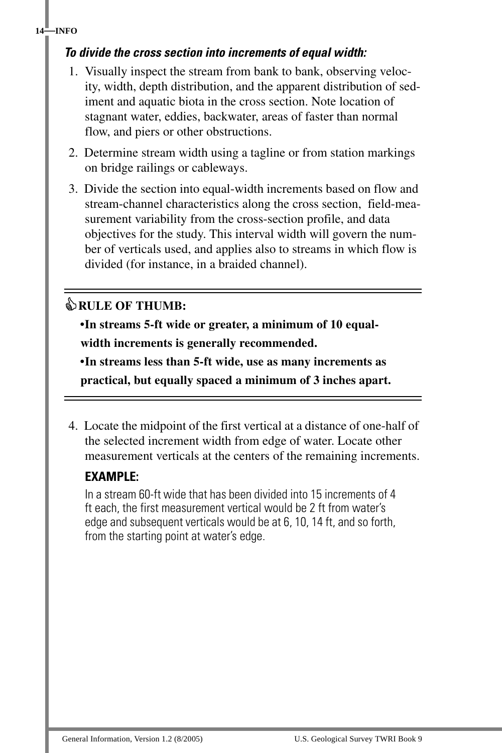### *To divide the cross section into increments of equal width:*

- 1. Visually inspect the stream from bank to bank, observing velocity, width, depth distribution, and the apparent distribution of sediment and aquatic biota in the cross section. Note location of stagnant water, eddies, backwater, areas of faster than normal flow, and piers or other obstructions.
- 2. Determine stream width using a tagline or from station markings on bridge railings or cableways.
- 3. Divide the section into equal-width increments based on flow and stream-channel characteristics along the cross section, field-measurement variability from the cross-section profile, and data objectives for the study. This interval width will govern the number of verticals used, and applies also to streams in which flow is divided (for instance, in a braided channel).

### &**RULE OF THUMB:**

**•In streams 5-ft wide or greater, a minimum of 10 equalwidth increments is generally recommended.**

**•In streams less than 5-ft wide, use as many increments as practical, but equally spaced a minimum of 3 inches apart.**

4. Locate the midpoint of the first vertical at a distance of one-half of the selected increment width from edge of water. Locate other measurement verticals at the centers of the remaining increments.

### **EXAMPLE:**

In a stream 60-ft wide that has been divided into 15 increments of 4 ft each, the first measurement vertical would be 2 ft from water's edge and subsequent verticals would be at 6, 10, 14 ft, and so forth, from the starting point at water's edge.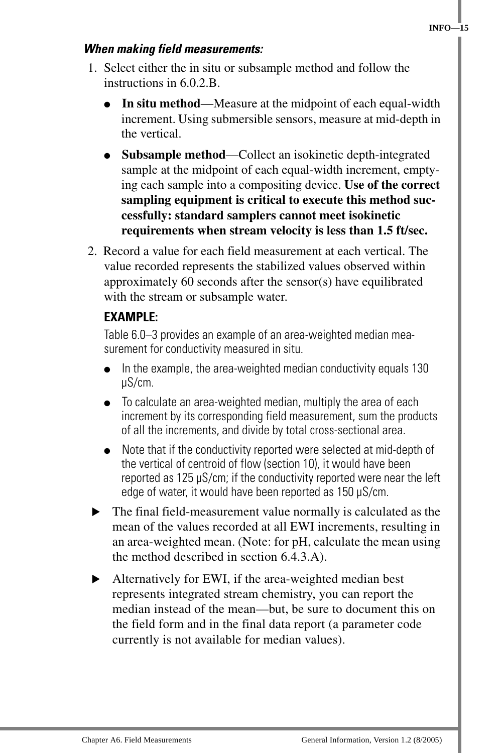#### *When making field measurements:*

- 1. Select either the in situ or subsample method and follow the instructions in 6.0.2.B.
	- **In situ method**—Measure at the midpoint of each equal-width increment. Using submersible sensors, measure at mid-depth in the vertical.
	- **Subsample method**—Collect an isokinetic depth-integrated sample at the midpoint of each equal-width increment, emptying each sample into a compositing device. **Use of the correct sampling equipment is critical to execute this method successfully: standard samplers cannot meet isokinetic requirements when stream velocity is less than 1.5 ft/sec.**
- 2. Record a value for each field measurement at each vertical. The value recorded represents the stabilized values observed within approximately 60 seconds after the sensor(s) have equilibrated with the stream or subsample water.

### **EXAMPLE:**

Table 6.0–3 provides an example of an area-weighted median measurement for conductivity measured in situ.

- In the example, the area-weighted median conductivity equals 130 µS/cm.
- To calculate an area-weighted median, multiply the area of each increment by its corresponding field measurement, sum the products of all the increments, and divide by total cross-sectional area.
- Note that if the conductivity reported were selected at mid-depth of the vertical of centroid of flow (section 10), it would have been reported as 125 µS/cm; if the conductivity reported were near the left edge of water, it would have been reported as 150 µS/cm.
- $\triangleright$  The final field-measurement value normally is calculated as the mean of the values recorded at all EWI increments, resulting in an area-weighted mean. (Note: for pH, calculate the mean using the method described in section 6.4.3.A).
- $\blacktriangleright$  Alternatively for EWI, if the area-weighted median best represents integrated stream chemistry, you can report the median instead of the mean—but, be sure to document this on the field form and in the final data report (a parameter code currently is not available for median values).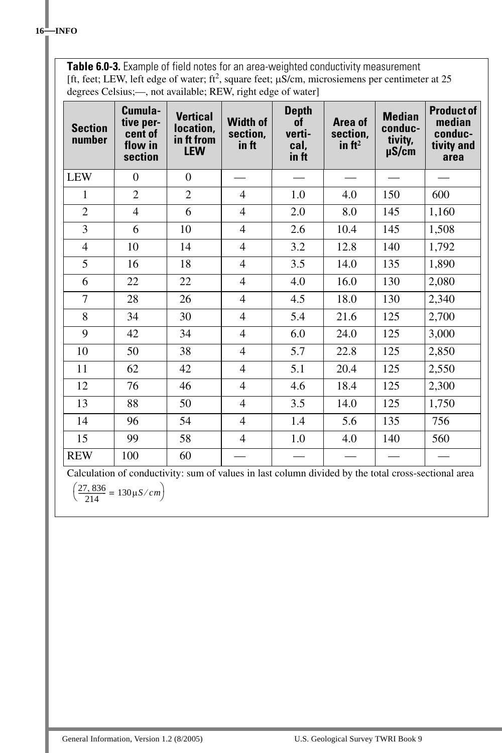#### **16—INFO**

**Table 6.0-3.** Example of field notes for an area-weighted conductivity measurement [ft, feet; LEW, left edge of water; ft<sup>2</sup>, square feet; µS/cm, microsiemens per centimeter at 25 degrees Celsius;—, not available; REW, right edge of water]

| <b>Section</b><br>number | Cumula-<br>tive per-<br>cent of<br>flow in<br>section | <b>Vertical</b><br>location,<br>in ft from<br><b>LEW</b> | <b>Width of</b><br>section,<br>in ft | <b>Depth</b><br><b>of</b><br>verti-<br>cal,<br>in ft | Area of<br>section,<br>in $ft^2$ | <b>Median</b><br>conduc-<br>tivity,<br>$\mu$ S/cm | <b>Product of</b><br>median<br>conduc-<br>tivity and<br>area |
|--------------------------|-------------------------------------------------------|----------------------------------------------------------|--------------------------------------|------------------------------------------------------|----------------------------------|---------------------------------------------------|--------------------------------------------------------------|
| <b>LEW</b>               | $\boldsymbol{0}$                                      | $\Omega$                                                 |                                      |                                                      |                                  |                                                   |                                                              |
| $\mathbf{1}$             | $\overline{2}$                                        | $\overline{2}$                                           | $\overline{4}$                       | 1.0                                                  | 4.0                              | 150                                               | 600                                                          |
| $\overline{2}$           | $\overline{4}$                                        | 6                                                        | $\overline{4}$                       | 2.0                                                  | 8.0                              | 145                                               | 1,160                                                        |
| 3                        | 6                                                     | 10                                                       | $\overline{4}$                       | 2.6                                                  | 10.4                             | 145                                               | 1,508                                                        |
| $\overline{4}$           | 10                                                    | 14                                                       | $\overline{4}$                       | 3.2                                                  | 12.8                             | 140                                               | 1,792                                                        |
| 5                        | 16                                                    | 18                                                       | $\overline{4}$                       | 3.5                                                  | 14.0                             | 135                                               | 1,890                                                        |
| 6                        | 22                                                    | 22                                                       | 4                                    | 4.0                                                  | 16.0                             | 130                                               | 2,080                                                        |
| $\overline{7}$           | 28                                                    | 26                                                       | $\overline{4}$                       | 4.5                                                  | 18.0                             | 130                                               | 2,340                                                        |
| 8                        | 34                                                    | 30                                                       | $\overline{\mathcal{L}}$             | 5.4                                                  | 21.6                             | 125                                               | 2,700                                                        |
| 9                        | 42                                                    | 34                                                       | $\overline{4}$                       | 6.0                                                  | 24.0                             | 125                                               | 3,000                                                        |
| 10                       | 50                                                    | 38                                                       | 4                                    | 5.7                                                  | 22.8                             | 125                                               | 2,850                                                        |
| 11                       | 62                                                    | 42                                                       | $\overline{4}$                       | 5.1                                                  | 20.4                             | 125                                               | 2,550                                                        |
| 12                       | 76                                                    | 46                                                       | 4                                    | 4.6                                                  | 18.4                             | 125                                               | 2,300                                                        |
| 13                       | 88                                                    | 50                                                       | $\overline{4}$                       | 3.5                                                  | 14.0                             | 125                                               | 1,750                                                        |
| 14                       | 96                                                    | 54                                                       | $\overline{4}$                       | 1.4                                                  | 5.6                              | 135                                               | 756                                                          |
| 15                       | 99                                                    | 58                                                       | $\overline{4}$                       | 1.0                                                  | 4.0                              | 140                                               | 560                                                          |
| <b>REW</b>               | 100                                                   | 60                                                       |                                      |                                                      |                                  |                                                   |                                                              |

Calculation of conductivity: sum of values in last column divided by the total cross-sectional area  $\left(\frac{27,836}{214} = 130 \mu S/cm\right)$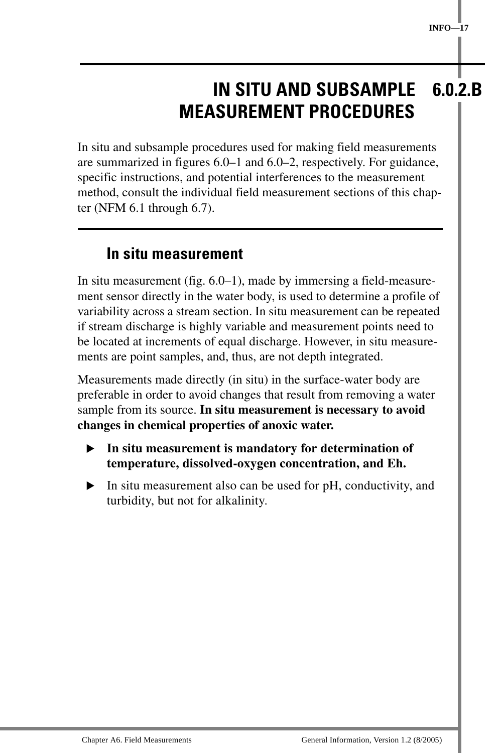# **IN SITU AND SUBSAMPLE 6.0.2.B MEASUREMENT PROCEDURES**

In situ and subsample procedures used for making field measurements are summarized in figures 6.0–1 and 6.0–2, respectively. For guidance, specific instructions, and potential interferences to the measurement method, consult the individual field measurement sections of this chapter (NFM 6.1 through 6.7).

### **In situ measurement**

In situ measurement (fig. 6.0–1), made by immersing a field-measurement sensor directly in the water body, is used to determine a profile of variability across a stream section. In situ measurement can be repeated if stream discharge is highly variable and measurement points need to be located at increments of equal discharge. However, in situ measurements are point samples, and, thus, are not depth integrated.

Measurements made directly (in situ) in the surface-water body are preferable in order to avoid changes that result from removing a water sample from its source. **In situ measurement is necessary to avoid changes in chemical properties of anoxic water.**

- $\blacktriangleright$  In situ measurement is mandatory for determination of **temperature, dissolved-oxygen concentration, and Eh.**
- $\blacktriangleright$  In situ measurement also can be used for pH, conductivity, and turbidity, but not for alkalinity.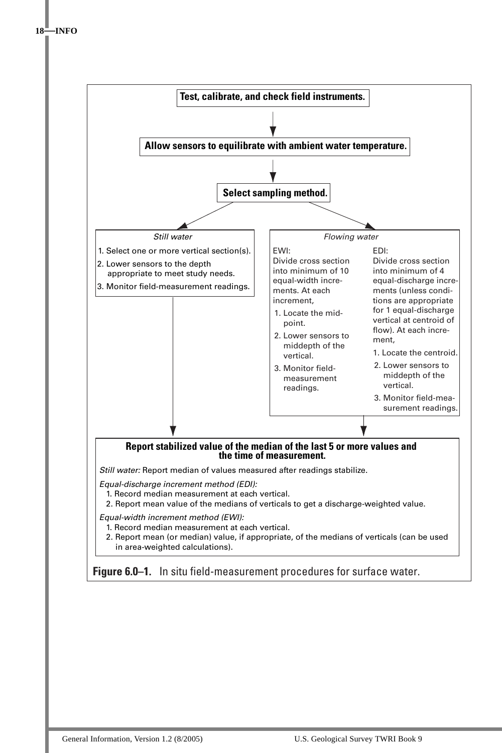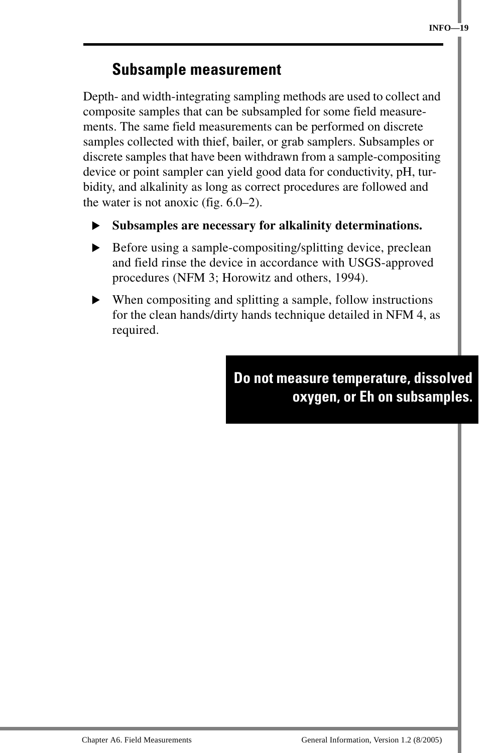### **Subsample measurement**

Depth- and width-integrating sampling methods are used to collect and composite samples that can be subsampled for some field measurements. The same field measurements can be performed on discrete samples collected with thief, bailer, or grab samplers. Subsamples or discrete samples that have been withdrawn from a sample-compositing device or point sampler can yield good data for conductivity, pH, turbidity, and alkalinity as long as correct procedures are followed and the water is not anoxic (fig. 6.0–2).

- X **Subsamples are necessary for alkalinity determinations.**
- Before using a sample-compositing/splitting device, preclean and field rinse the device in accordance with USGS-approved procedures (NFM 3; Horowitz and others, 1994).
- X When compositing and splitting a sample, follow instructions for the clean hands/dirty hands technique detailed in NFM 4, as required.

**Do not measure temperature, dissolved oxygen, or Eh on subsamples.**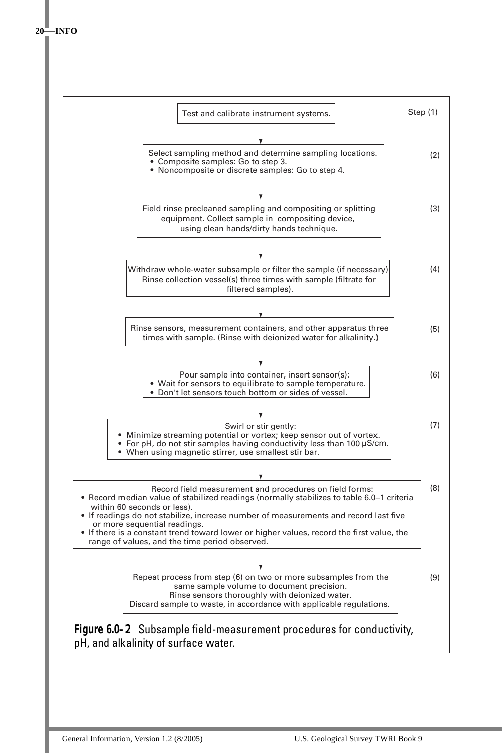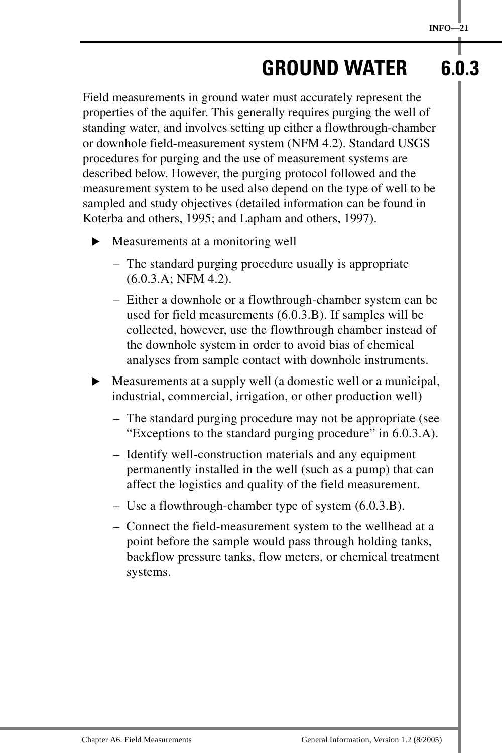# **GROUND WATER 6.0.3**

Field measurements in ground water must accurately represent the properties of the aquifer. This generally requires purging the well of standing water, and involves setting up either a flowthrough-chamber or downhole field-measurement system (NFM 4.2). Standard USGS procedures for purging and the use of measurement systems are described below. However, the purging protocol followed and the measurement system to be used also depend on the type of well to be sampled and study objectives (detailed information can be found in Koterba and others, 1995; and Lapham and others, 1997).

- Measurements at a monitoring well
	- The standard purging procedure usually is appropriate (6.0.3.A; NFM 4.2).
	- Either a downhole or a flowthrough-chamber system can be used for field measurements (6.0.3.B). If samples will be collected, however, use the flowthrough chamber instead of the downhole system in order to avoid bias of chemical analyses from sample contact with downhole instruments.
- Measurements at a supply well (a domestic well or a municipal, industrial, commercial, irrigation, or other production well)
	- The standard purging procedure may not be appropriate (see "Exceptions to the standard purging procedure" in 6.0.3.A).
	- Identify well-construction materials and any equipment permanently installed in the well (such as a pump) that can affect the logistics and quality of the field measurement.
	- Use a flowthrough-chamber type of system (6.0.3.B).
	- Connect the field-measurement system to the wellhead at a point before the sample would pass through holding tanks, backflow pressure tanks, flow meters, or chemical treatment systems.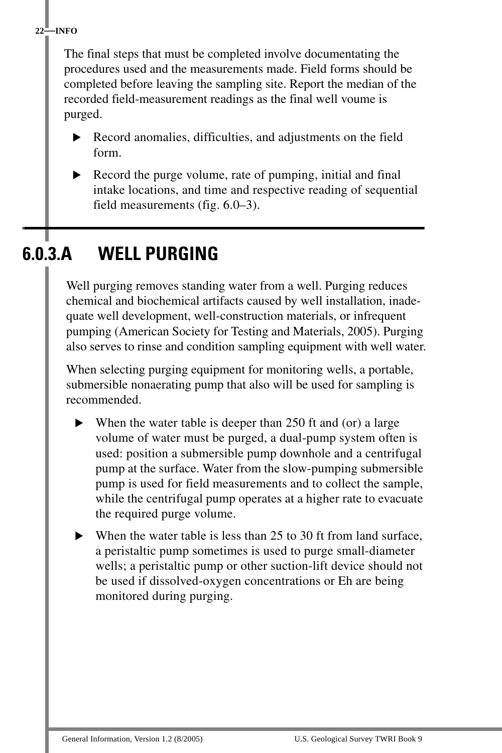The final steps that must be completed involve documentating the procedures used and the measurements made. Field forms should be completed before leaving the sampling site. Report the median of the recorded field-measurement readings as the final well voume is purged.

- $\blacktriangleright$  Record anomalies, difficulties, and adjustments on the field form.
- $\blacktriangleright$  Record the purge volume, rate of pumping, initial and final intake locations, and time and respective reading of sequential field measurements (fig. 6.0–3).

# **6.0.3.A WELL PURGING**

Well purging removes standing water from a well. Purging reduces chemical and biochemical artifacts caused by well installation, inadequate well development, well-construction materials, or infrequent pumping (American Society for Testing and Materials, 2005). Purging also serves to rinse and condition sampling equipment with well water.

When selecting purging equipment for monitoring wells, a portable, submersible nonaerating pump that also will be used for sampling is recommended.

- $\triangleright$  When the water table is deeper than 250 ft and (or) a large volume of water must be purged, a dual-pump system often is used: position a submersible pump downhole and a centrifugal pump at the surface. Water from the slow-pumping submersible pump is used for field measurements and to collect the sample, while the centrifugal pump operates at a higher rate to evacuate the required purge volume.
- $\blacktriangleright$  When the water table is less than 25 to 30 ft from land surface, a peristaltic pump sometimes is used to purge small-diameter wells; a peristaltic pump or other suction-lift device should not be used if dissolved-oxygen concentrations or Eh are being monitored during purging.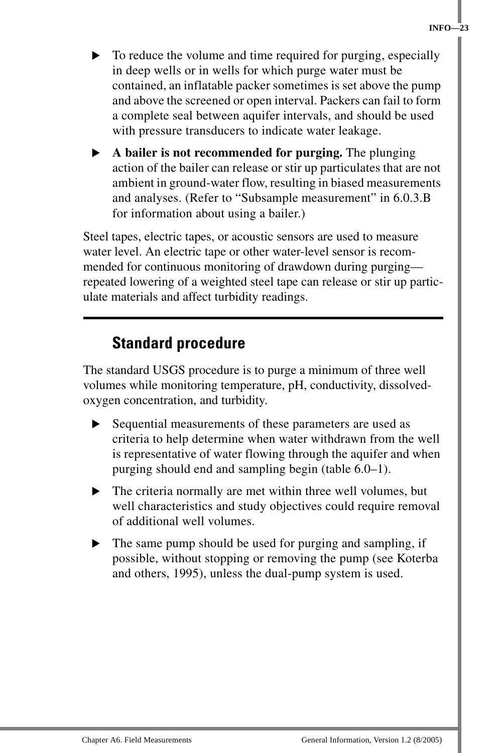- To reduce the volume and time required for purging, especially in deep wells or in wells for which purge water must be contained, an inflatable packer sometimes is set above the pump and above the screened or open interval. Packers can fail to form a complete seal between aquifer intervals, and should be used with pressure transducers to indicate water leakage.
- $\blacktriangleright$  A bailer is not recommended for purging. The plunging action of the bailer can release or stir up particulates that are not ambient in ground-water flow, resulting in biased measurements and analyses. (Refer to "Subsample measurement" in 6.0.3.B for information about using a bailer.)

Steel tapes, electric tapes, or acoustic sensors are used to measure water level. An electric tape or other water-level sensor is recommended for continuous monitoring of drawdown during purging repeated lowering of a weighted steel tape can release or stir up particulate materials and affect turbidity readings.

# **Standard procedure**

The standard USGS procedure is to purge a minimum of three well volumes while monitoring temperature, pH, conductivity, dissolvedoxygen concentration, and turbidity.

- $\triangleright$  Sequential measurements of these parameters are used as criteria to help determine when water withdrawn from the well is representative of water flowing through the aquifer and when purging should end and sampling begin (table 6.0–1).
- $\triangleright$  The criteria normally are met within three well volumes, but well characteristics and study objectives could require removal of additional well volumes.
- The same pump should be used for purging and sampling, if possible, without stopping or removing the pump (see Koterba and others, 1995), unless the dual-pump system is used.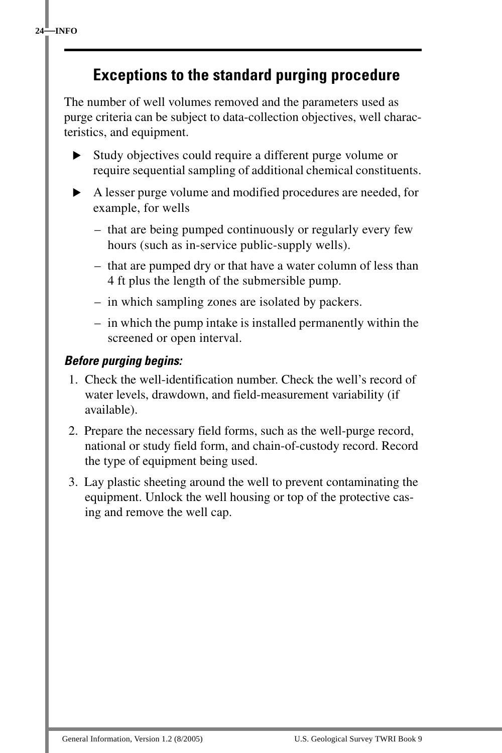# **Exceptions to the standard purging procedure**

The number of well volumes removed and the parameters used as purge criteria can be subject to data-collection objectives, well characteristics, and equipment.

- Study objectives could require a different purge volume or require sequential sampling of additional chemical constituents.
- $\blacktriangleright$  A lesser purge volume and modified procedures are needed, for example, for wells
	- that are being pumped continuously or regularly every few hours (such as in-service public-supply wells).
	- that are pumped dry or that have a water column of less than 4 ft plus the length of the submersible pump.
	- in which sampling zones are isolated by packers.
	- in which the pump intake is installed permanently within the screened or open interval.

### *Before purging begins:*

- 1. Check the well-identification number. Check the well's record of water levels, drawdown, and field-measurement variability (if available).
- 2. Prepare the necessary field forms, such as the well-purge record, national or study field form, and chain-of-custody record. Record the type of equipment being used.
- 3. Lay plastic sheeting around the well to prevent contaminating the equipment. Unlock the well housing or top of the protective casing and remove the well cap.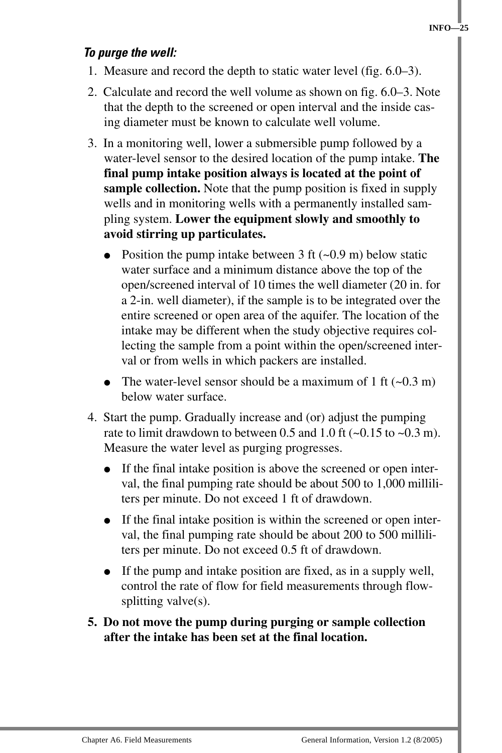#### *To purge the well:*

- 1. Measure and record the depth to static water level (fig. 6.0–3).
- 2. Calculate and record the well volume as shown on fig. 6.0–3. Note that the depth to the screened or open interval and the inside casing diameter must be known to calculate well volume.
- 3. In a monitoring well, lower a submersible pump followed by a water-level sensor to the desired location of the pump intake. **The final pump intake position always is located at the point of sample collection.** Note that the pump position is fixed in supply wells and in monitoring wells with a permanently installed sampling system. **Lower the equipment slowly and smoothly to avoid stirring up particulates.**
	- Position the pump intake between 3 ft  $(-0.9 \text{ m})$  below static water surface and a minimum distance above the top of the open/screened interval of 10 times the well diameter (20 in. for a 2-in. well diameter), if the sample is to be integrated over the entire screened or open area of the aquifer. The location of the intake may be different when the study objective requires collecting the sample from a point within the open/screened interval or from wells in which packers are installed.
	- The water-level sensor should be a maximum of 1 ft  $(-0.3 \text{ m})$ below water surface.
- 4. Start the pump. Gradually increase and (or) adjust the pumping rate to limit drawdown to between 0.5 and 1.0 ft  $(-0.15 \text{ to } -0.3 \text{ m})$ . Measure the water level as purging progresses.
	- If the final intake position is above the screened or open interval, the final pumping rate should be about 500 to 1,000 milliliters per minute. Do not exceed 1 ft of drawdown.
	- If the final intake position is within the screened or open interval, the final pumping rate should be about 200 to 500 milliliters per minute. Do not exceed 0.5 ft of drawdown.
	- If the pump and intake position are fixed, as in a supply well, control the rate of flow for field measurements through flowsplitting valve(s).
- **5. Do not move the pump during purging or sample collection after the intake has been set at the final location.**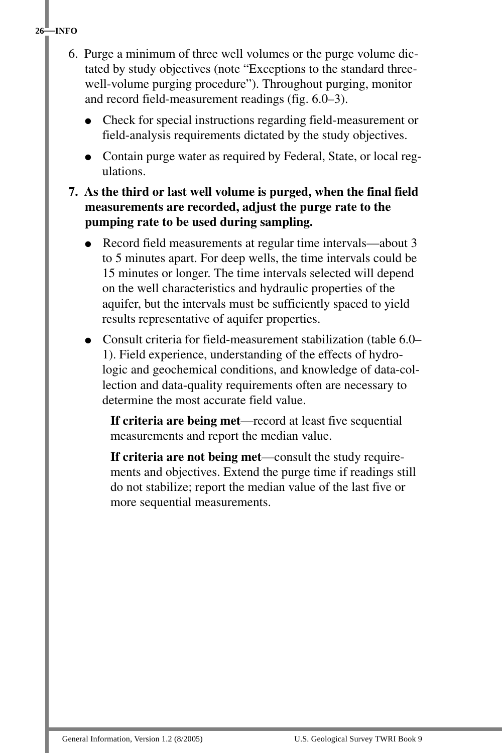- **26—INFO**
	- 6. Purge a minimum of three well volumes or the purge volume dictated by study objectives (note "Exceptions to the standard threewell-volume purging procedure"). Throughout purging, monitor and record field-measurement readings (fig. 6.0–3).
		- Check for special instructions regarding field-measurement or field-analysis requirements dictated by the study objectives.
		- Contain purge water as required by Federal, State, or local regulations.
	- **7. As the third or last well volume is purged, when the final field measurements are recorded, adjust the purge rate to the pumping rate to be used during sampling.**
		- Record field measurements at regular time intervals—about 3 to 5 minutes apart. For deep wells, the time intervals could be 15 minutes or longer. The time intervals selected will depend on the well characteristics and hydraulic properties of the aquifer, but the intervals must be sufficiently spaced to yield results representative of aquifer properties.
		- Consult criteria for field-measurement stabilization (table 6.0– 1). Field experience, understanding of the effects of hydrologic and geochemical conditions, and knowledge of data-collection and data-quality requirements often are necessary to determine the most accurate field value.

**If criteria are being met**—record at least five sequential measurements and report the median value.

**If criteria are not being met**—consult the study requirements and objectives. Extend the purge time if readings still do not stabilize; report the median value of the last five or more sequential measurements.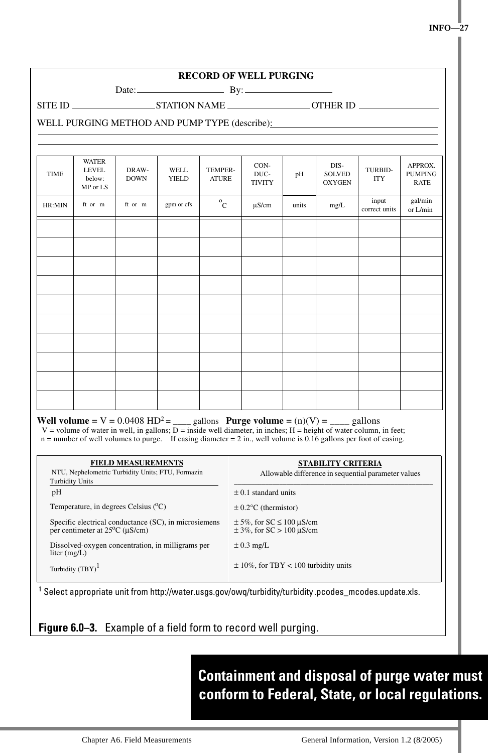#### **RECORD OF WELL PURGING**

Date:  $\qquad \qquad \qquad$  By:

SITE ID STATION NAME OTHER ID

WELL PURGING METHOD AND PUMP TYPE (describe):

| TIME   | <b>WATER</b><br><b>LEVEL</b><br>below:<br>${\rm MP}$ or ${\rm LS}$ | DRAW-<br><b>DOWN</b> | <b>WELL</b><br><b>YIELD</b> | TEMPER-<br><b>ATURE</b> | $CON-$<br>$DUC-$<br><b>TIVITY</b> | pH    | DIS-<br><b>SOLVED</b><br><b>OXYGEN</b> | TURBID-<br><b>ITY</b>  | APPROX.<br><b>PUMPING</b><br><b>RATE</b> |
|--------|--------------------------------------------------------------------|----------------------|-----------------------------|-------------------------|-----------------------------------|-------|----------------------------------------|------------------------|------------------------------------------|
| HR:MIN | ft or m                                                            | ft or m              | gpm or cfs                  | $^{\rm o} \rm C$        | $\mu$ S/cm                        | units | mg/L                                   | input<br>correct units | gal/min<br>or L/min                      |
|        |                                                                    |                      |                             |                         |                                   |       |                                        |                        |                                          |
|        |                                                                    |                      |                             |                         |                                   |       |                                        |                        |                                          |
|        |                                                                    |                      |                             |                         |                                   |       |                                        |                        |                                          |
|        |                                                                    |                      |                             |                         |                                   |       |                                        |                        |                                          |
|        |                                                                    |                      |                             |                         |                                   |       |                                        |                        |                                          |
|        |                                                                    |                      |                             |                         |                                   |       |                                        |                        |                                          |
|        |                                                                    |                      |                             |                         |                                   |       |                                        |                        |                                          |
|        |                                                                    |                      |                             |                         |                                   |       |                                        |                        |                                          |
|        |                                                                    |                      |                             |                         |                                   |       |                                        |                        |                                          |
|        |                                                                    |                      |                             |                         |                                   |       |                                        |                        |                                          |

**Well volume** = V = 0.0408 HD<sup>2</sup> = \_\_\_\_ gallons **Purge volume** =  $(n)(V)$  = \_\_\_\_ gallons V = volume of water in well, in gallons; D = inside well diameter, in inches; H = height of water column, in feet; n = number of well volumes to purge. If casing diameter = 2 in., well volume is 0.16 gallons per foot of casing.

| <b>FIELD MEASUREMENTS</b><br>NTU, Nephelometric Turbidity Units; FTU, Formazin<br><b>Turbidity Units</b> | <b>STABILITY CRITERIA</b><br>Allowable difference in sequential parameter values |
|----------------------------------------------------------------------------------------------------------|----------------------------------------------------------------------------------|
| pH                                                                                                       | $+0.1$ standard units                                                            |
| Temperature, in degrees Celsius $(^{0}C)$                                                                | $\pm$ 0.2°C (thermistor)                                                         |
| Specific electrical conductance (SC), in microsiemens<br>per centimeter at $25^{\circ}$ C ( $\mu$ S/cm)  | $\pm$ 5%, for SC $\leq$ 100 $\mu$ S/cm<br>$\pm$ 3%, for SC > 100 $\mu$ S/cm      |
| Dissolved-oxygen concentration, in milligrams per<br>liter $(mg/L)$                                      | $\pm 0.3$ mg/L                                                                   |
| Turbidity (TBY) <sup>1</sup>                                                                             | $\pm$ 10%, for TBY < 100 turbidity units                                         |

<sup>1</sup> Select appropriate unit from http://water.usgs.gov/owq/turbidity/turbidity .pcodes\_mcodes.update.xls.

**Figure 6.0–3.** Example of a field form to record well purging.

## **Containment and disposal of purge water must conform to Federal, State, or local regulations.**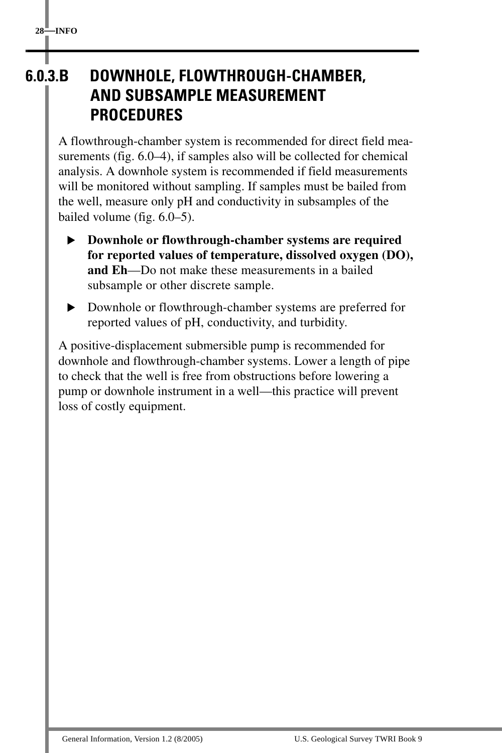# **6.0.3.B DOWNHOLE, FLOWTHROUGH-CHAMBER, AND SUBSAMPLE MEASUREMENT PROCEDURES**

A flowthrough-chamber system is recommended for direct field measurements (fig. 6.0–4), if samples also will be collected for chemical analysis. A downhole system is recommended if field measurements will be monitored without sampling. If samples must be bailed from the well, measure only pH and conductivity in subsamples of the bailed volume (fig. 6.0–5).

- X **Downhole or flowthrough-chamber systems are required for reported values of temperature, dissolved oxygen (DO), and Eh**—Do not make these measurements in a bailed subsample or other discrete sample.
- $\triangleright$  Downhole or flowthrough-chamber systems are preferred for reported values of pH, conductivity, and turbidity.

A positive-displacement submersible pump is recommended for downhole and flowthrough-chamber systems. Lower a length of pipe to check that the well is free from obstructions before lowering a pump or downhole instrument in a well—this practice will prevent loss of costly equipment.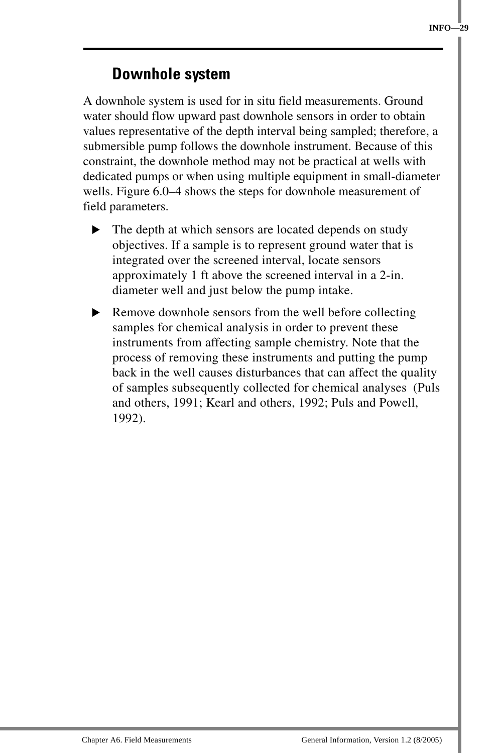## **Downhole system**

A downhole system is used for in situ field measurements. Ground water should flow upward past downhole sensors in order to obtain values representative of the depth interval being sampled; therefore, a submersible pump follows the downhole instrument. Because of this constraint, the downhole method may not be practical at wells with dedicated pumps or when using multiple equipment in small-diameter wells. Figure 6.0–4 shows the steps for downhole measurement of field parameters.

- The depth at which sensors are located depends on study objectives. If a sample is to represent ground water that is integrated over the screened interval, locate sensors approximately 1 ft above the screened interval in a 2-in. diameter well and just below the pump intake.
- $\blacktriangleright$  Remove downhole sensors from the well before collecting samples for chemical analysis in order to prevent these instruments from affecting sample chemistry. Note that the process of removing these instruments and putting the pump back in the well causes disturbances that can affect the quality of samples subsequently collected for chemical analyses (Puls and others, 1991; Kearl and others, 1992; Puls and Powell, 1992).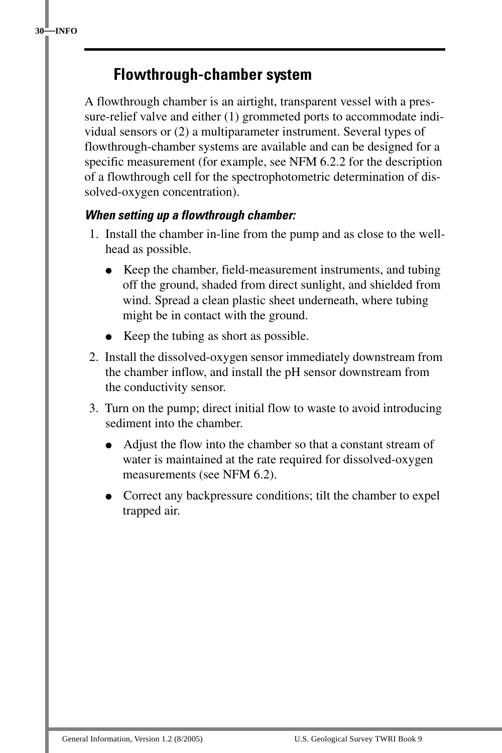## **Flowthrough-chamber system**

A flowthrough chamber is an airtight, transparent vessel with a pressure-relief valve and either (1) grommeted ports to accommodate individual sensors or (2) a multiparameter instrument. Several types of flowthrough-chamber systems are available and can be designed for a specific measurement (for example, see NFM 6.2.2 for the description of a flowthrough cell for the spectrophotometric determination of dissolved-oxygen concentration).

#### *When setting up a flowthrough chamber:*

- 1. Install the chamber in-line from the pump and as close to the wellhead as possible.
	- Keep the chamber, field-measurement instruments, and tubing off the ground, shaded from direct sunlight, and shielded from wind. Spread a clean plastic sheet underneath, where tubing might be in contact with the ground.
	- Keep the tubing as short as possible.
- 2. Install the dissolved-oxygen sensor immediately downstream from the chamber inflow, and install the pH sensor downstream from the conductivity sensor.
- 3. Turn on the pump; direct initial flow to waste to avoid introducing sediment into the chamber.
	- Adjust the flow into the chamber so that a constant stream of water is maintained at the rate required for dissolved-oxygen measurements (see NFM 6.2).
	- Correct any backpressure conditions; tilt the chamber to expel trapped air.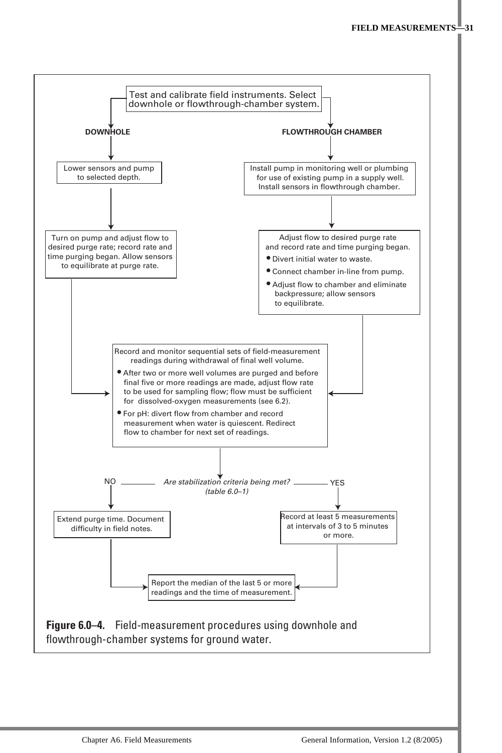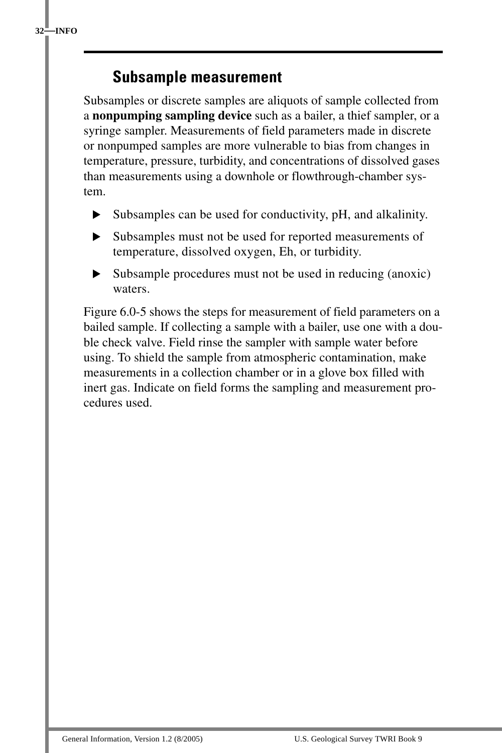### **Subsample measurement**

Subsamples or discrete samples are aliquots of sample collected from a **nonpumping sampling device** such as a bailer, a thief sampler, or a syringe sampler. Measurements of field parameters made in discrete or nonpumped samples are more vulnerable to bias from changes in temperature, pressure, turbidity, and concentrations of dissolved gases than measurements using a downhole or flowthrough-chamber system.

- $\blacktriangleright$  Subsamples can be used for conductivity, pH, and alkalinity.
- $\triangleright$  Subsamples must not be used for reported measurements of temperature, dissolved oxygen, Eh, or turbidity.
- Subsample procedures must not be used in reducing (anoxic) waters.

Figure 6.0-5 shows the steps for measurement of field parameters on a bailed sample. If collecting a sample with a bailer, use one with a double check valve. Field rinse the sampler with sample water before using. To shield the sample from atmospheric contamination, make measurements in a collection chamber or in a glove box filled with inert gas. Indicate on field forms the sampling and measurement procedures used.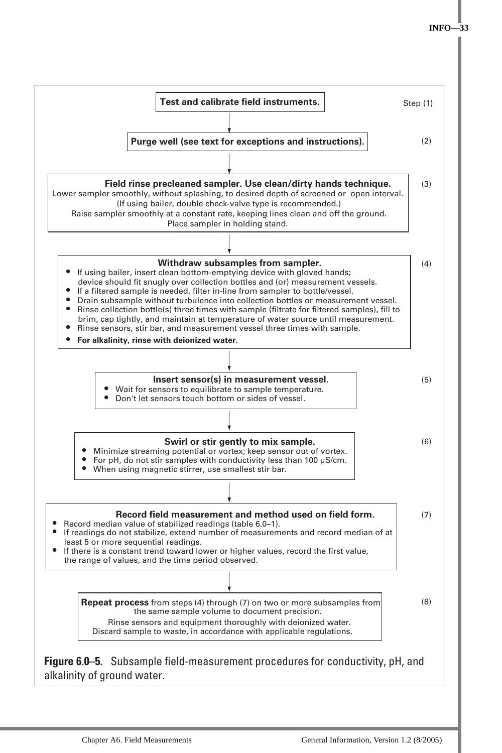#### **INFO—33**

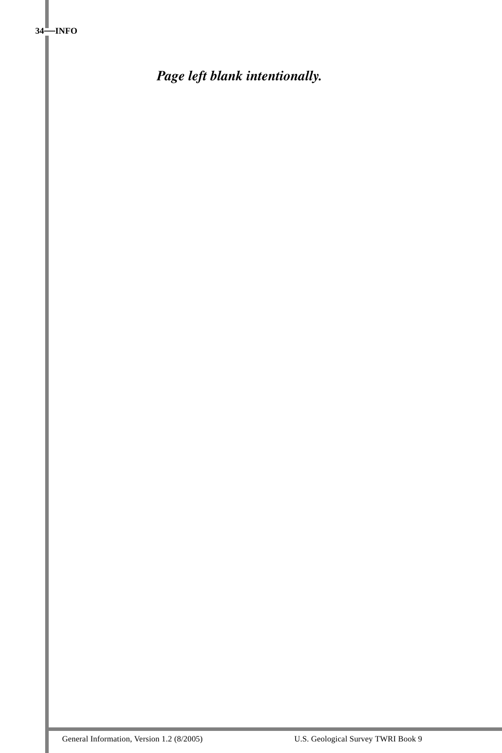*Page left blank intentionally.*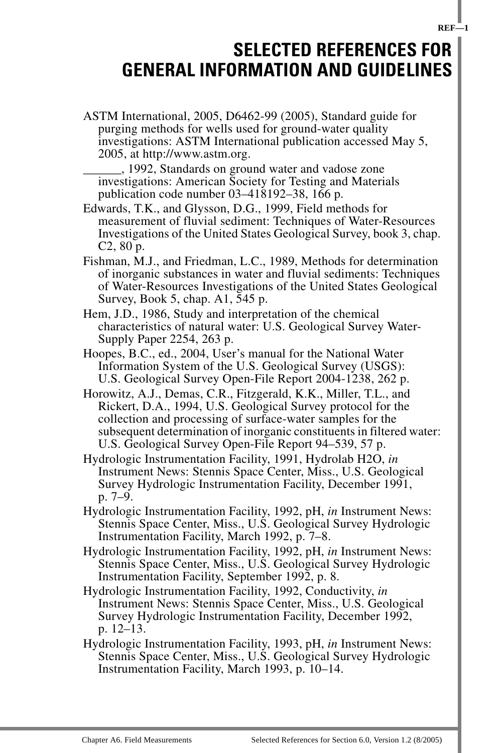ASTM International, 2005, D6462-99 (2005), Standard guide for purging methods for wells used for ground-water quality investigations: ASTM International publication accessed May 5, 2005, at http://www.astm.org.

\_\_\_\_\_\_, 1992, Standards on ground water and vadose zone investigations: American Society for Testing and Materials publication code number 03–418192–38, 166 p.

- Edwards, T.K., and Glysson, D.G., 1999, Field methods for measurement of fluvial sediment: Techniques of Water-Resources Investigations of the United States Geological Survey, book 3, chap. C2, 80 p.
- Fishman, M.J., and Friedman, L.C., 1989, Methods for determination of inorganic substances in water and fluvial sediments: Techniques of Water-Resources Investigations of the United States Geological Survey, Book 5, chap. A1, 545 p.
- Hem, J.D., 1986, Study and interpretation of the chemical characteristics of natural water: U.S. Geological Survey Water-Supply Paper 2254, 263 p.
- Hoopes, B.C., ed., 2004, User's manual for the National Water Information System of the U.S. Geological Survey (USGS): U.S. Geological Survey Open-File Report 2004-1238, 262 p.
- Horowitz, A.J., Demas, C.R., Fitzgerald, K.K., Miller, T.L., and Rickert, D.A., 1994, U.S. Geological Survey protocol for the collection and processing of surface-water samples for the subsequent determination of inorganic constituents in filtered water: U.S. Geological Survey Open-File Report 94–539, 57 p.
- Hydrologic Instrumentation Facility, 1991, Hydrolab H2O, *in*  Instrument News: Stennis Space Center, Miss., U.S. Geological Survey Hydrologic Instrumentation Facility, December 1991, p. 7–9.
- Hydrologic Instrumentation Facility, 1992, pH, *in* Instrument News: Stennis Space Center, Miss., U.S. Geological Survey Hydrologic Instrumentation Facility, March 1992, p. 7–8.
- Hydrologic Instrumentation Facility, 1992, pH, *in* Instrument News: Stennis Space Center, Miss., U.S. Geological Survey Hydrologic Instrumentation Facility, September 1992, p. 8.
- Hydrologic Instrumentation Facility, 1992, Conductivity, *in*  Instrument News: Stennis Space Center, Miss., U.S. Geological Survey Hydrologic Instrumentation Facility, December 1992, p. 12–13.
- Hydrologic Instrumentation Facility, 1993, pH, *in* Instrument News: Stennis Space Center, Miss., U.S. Geological Survey Hydrologic Instrumentation Facility, March 1993, p. 10–14.